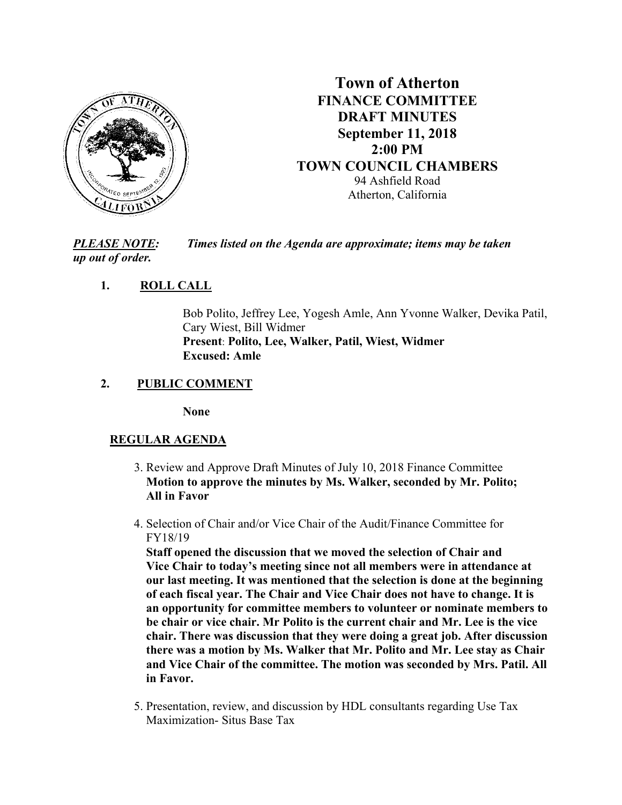

## **Town of Atherton FINANCE COMMITTEE DRAFT MINUTES September 11, 2018 2:00 PM TOWN COUNCIL CHAMBERS** 94 Ashfield Road Atherton, California

*PLEASE NOTE: Times listed on the Agenda are approximate; items may be taken up out of order.*

## **1. ROLL CALL**

Bob Polito, Jeffrey Lee, Yogesh Amle, Ann Yvonne Walker, Devika Patil, Cary Wiest, Bill Widmer **Present**: **Polito, Lee, Walker, Patil, Wiest, Widmer Excused: Amle**

## **2. PUBLIC COMMENT**

**None**

## **REGULAR AGENDA**

- 3. Review and Approve Draft Minutes of July 10, 2018 Finance Committee **Motion to approve the minutes by Ms. Walker, seconded by Mr. Polito; All in Favor**
- 4. Selection of Chair and/or Vice Chair of the Audit/Finance Committee for FY18/19

**Staff opened the discussion that we moved the selection of Chair and Vice Chair to today's meeting since not all members were in attendance at our last meeting. It was mentioned that the selection is done at the beginning of each fiscal year. The Chair and Vice Chair does not have to change. It is an opportunity for committee members to volunteer or nominate members to be chair or vice chair. Mr Polito is the current chair and Mr. Lee is the vice chair. There was discussion that they were doing a great job. After discussion there was a motion by Ms. Walker that Mr. Polito and Mr. Lee stay as Chair and Vice Chair of the committee. The motion was seconded by Mrs. Patil. All in Favor.**

 5. Presentation, review, and discussion by HDL consultants regarding Use Tax Maximization- Situs Base Tax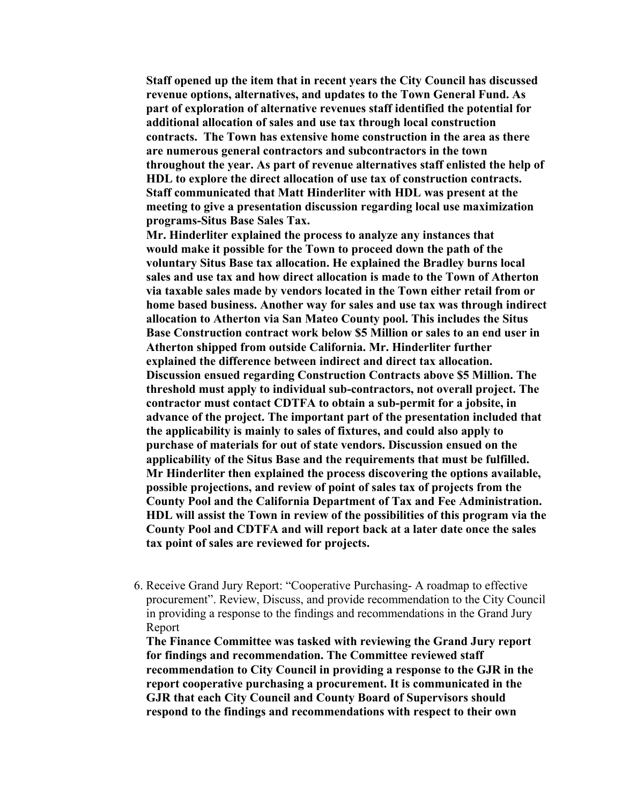**Staff opened up the item that in recent years the City Council has discussed revenue options, alternatives, and updates to the Town General Fund. As part of exploration of alternative revenues staff identified the potential for additional allocation of sales and use tax through local construction contracts. The Town has extensive home construction in the area as there are numerous general contractors and subcontractors in the town throughout the year. As part of revenue alternatives staff enlisted the help of HDL to explore the direct allocation of use tax of construction contracts. Staff communicated that Matt Hinderliter with HDL was present at the meeting to give a presentation discussion regarding local use maximization programs-Situs Base Sales Tax.**

**Mr. Hinderliter explained the process to analyze any instances that would make it possible for the Town to proceed down the path of the voluntary Situs Base tax allocation. He explained the Bradley burns local sales and use tax and how direct allocation is made to the Town of Atherton via taxable sales made by vendors located in the Town either retail from or home based business. Another way for sales and use tax was through indirect allocation to Atherton via San Mateo County pool. This includes the Situs Base Construction contract work below \$5 Million or sales to an end user in Atherton shipped from outside California. Mr. Hinderliter further explained the difference between indirect and direct tax allocation. Discussion ensued regarding Construction Contracts above \$5 Million. The threshold must apply to individual sub-contractors, not overall project. The contractor must contact CDTFA to obtain a sub-permit for a jobsite, in advance of the project. The important part of the presentation included that the applicability is mainly to sales of fixtures, and could also apply to purchase of materials for out of state vendors. Discussion ensued on the applicability of the Situs Base and the requirements that must be fulfilled. Mr Hinderliter then explained the process discovering the options available, possible projections, and review of point of sales tax of projects from the County Pool and the California Department of Tax and Fee Administration. HDL will assist the Town in review of the possibilities of this program via the County Pool and CDTFA and will report back at a later date once the sales tax point of sales are reviewed for projects.**

 6. Receive Grand Jury Report: "Cooperative Purchasing- A roadmap to effective procurement". Review, Discuss, and provide recommendation to the City Council in providing a response to the findings and recommendations in the Grand Jury Report

**The Finance Committee was tasked with reviewing the Grand Jury report for findings and recommendation. The Committee reviewed staff recommendation to City Council in providing a response to the GJR in the report cooperative purchasing a procurement. It is communicated in the GJR that each City Council and County Board of Supervisors should respond to the findings and recommendations with respect to their own**